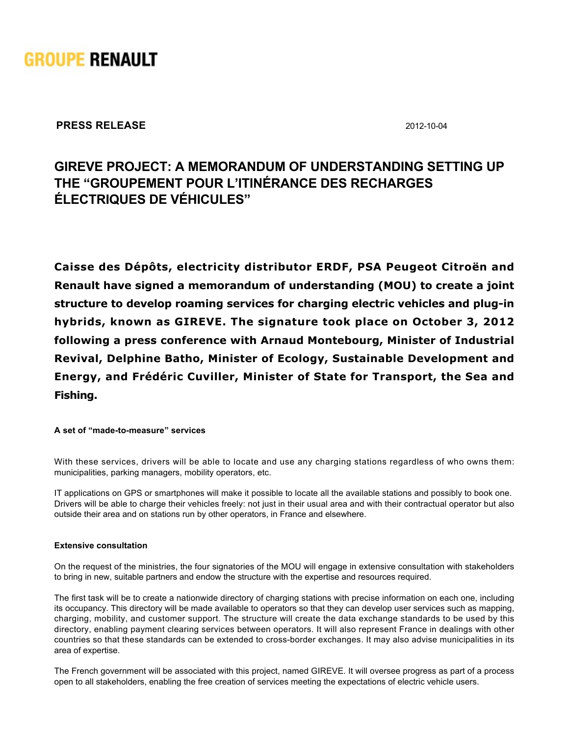

**PRESS RELEASE** 2012-10-04

# **GIREVE PROJECT: A MEMORANDUM OF UNDERSTANDING SETTING UP THE "GROUPEMENT POUR L'ITINÉRANCE DES RECHARGES ÉLECTRIQUES DE VÉHICULES"**

**Caisse des Dépôts, electricity distributor ERDF, PSA Peugeot Citroën and Renault have signed a memorandum of understanding (MOU) to create a joint** structure to develop roaming services for charging electric vehicles and plug-in **hybrids, known as GIREVE. The signature took place on October 3, 2012 following a press conference with Arnaud Montebourg, Minister of Industrial Revival, Delphine Batho, Minister of Ecology, Sustainable Development and Energy, and Frédéric Cuviller, Minister of State for Transport, the Sea and Fishing.** 

#### A set of "made-to-measure" services

With these services, drivers will be able to locate and use any charging stations regardless of who owns them: municipalities, parking managers, mobility operators, etc.

IT applications on GPS or smartphones will make it possible to locate all the available stations and possibly to book one. Drivers will be able to charge their vehicles freely: not just in their usual area and with their contractual operator but also outside their area and on stations run by other operators, in France and elsewhere.

# **Extensive consultation**

On the request of the ministries, the four signatories of the MOU will engage in extensive consultation with stakeholders to bring in new, suitable partners and endow the structure with the expertise and resources required.

The first task will be to create a nationwide directory of charging stations with precise information on each one, including its occupancy. This directory will be made available to operators so that they can develop user services such as mapping, charging, mobility, and customer support. The structure will create the data exchange standards to be used by this directory, enabling payment clearing services between operators. It will also represent France in dealings with other countries so that these standards can be extended to cross-border exchanges. It may also advise municipalities in its area of expertise.

The French government will be associated with this project, named GIREVE. It will oversee progress as part of a process open to all stakeholders, enabling the free creation of services meeting the expectations of electric vehicle users.